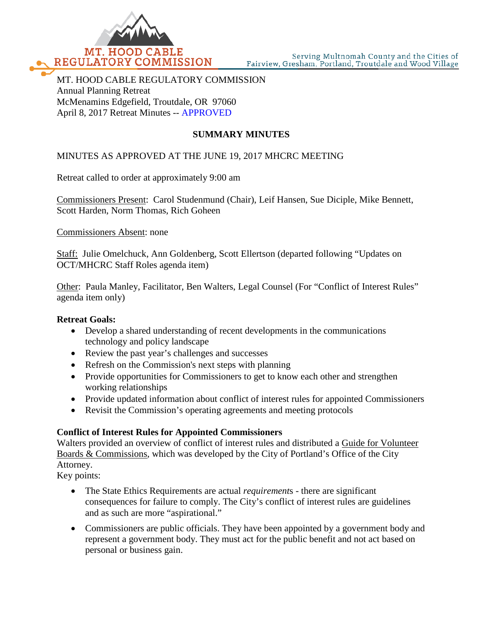

MT. HOOD CABLE REGULATORY COMMISSION Annual Planning Retreat McMenamins Edgefield, Troutdale, OR 97060 April 8, 2017 Retreat Minutes -- APPROVED

# **SUMMARY MINUTES**

## MINUTES AS APPROVED AT THE JUNE 19, 2017 MHCRC MEETING

Retreat called to order at approximately 9:00 am

Commissioners Present: Carol Studenmund (Chair), Leif Hansen, Sue Diciple, Mike Bennett, Scott Harden, Norm Thomas, Rich Goheen

Commissioners Absent: none

Staff: Julie Omelchuck, Ann Goldenberg, Scott Ellertson (departed following "Updates on OCT/MHCRC Staff Roles agenda item)

Other: Paula Manley, Facilitator, Ben Walters, Legal Counsel (For "Conflict of Interest Rules" agenda item only)

#### **Retreat Goals:**

- Develop a shared understanding of recent developments in the communications technology and policy landscape
- Review the past year's challenges and successes
- Refresh on the Commission's next steps with planning
- Provide opportunities for Commissioners to get to know each other and strengthen working relationships
- Provide updated information about conflict of interest rules for appointed Commissioners
- Revisit the Commission's operating agreements and meeting protocols

#### **Conflict of Interest Rules for Appointed Commissioners**

Walters provided an overview of conflict of interest rules and distributed a Guide for Volunteer Boards & Commissions, which was developed by the City of Portland's Office of the City Attorney.

Key points:

- The State Ethics Requirements are actual *requirement*s there are significant consequences for failure to comply. The City's conflict of interest rules are guidelines and as such are more "aspirational."
- Commissioners are public officials. They have been appointed by a government body and represent a government body. They must act for the public benefit and not act based on personal or business gain.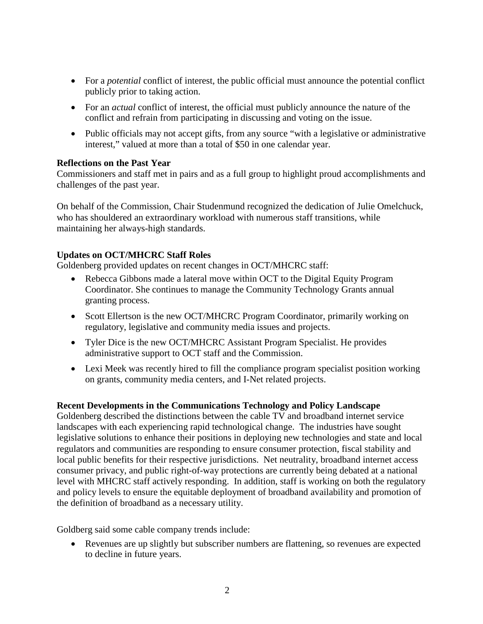- For a *potential* conflict of interest, the public official must announce the potential conflict publicly prior to taking action.
- For an *actual* conflict of interest, the official must publicly announce the nature of the conflict and refrain from participating in discussing and voting on the issue.
- Public officials may not accept gifts, from any source "with a legislative or administrative interest," valued at more than a total of \$50 in one calendar year.

## **Reflections on the Past Year**

Commissioners and staff met in pairs and as a full group to highlight proud accomplishments and challenges of the past year.

On behalf of the Commission, Chair Studenmund recognized the dedication of Julie Omelchuck, who has shouldered an extraordinary workload with numerous staff transitions, while maintaining her always-high standards.

## **Updates on OCT/MHCRC Staff Roles**

Goldenberg provided updates on recent changes in OCT/MHCRC staff:

- Rebecca Gibbons made a lateral move within OCT to the Digital Equity Program Coordinator. She continues to manage the Community Technology Grants annual granting process.
- Scott Ellertson is the new OCT/MHCRC Program Coordinator, primarily working on regulatory, legislative and community media issues and projects.
- Tyler Dice is the new OCT/MHCRC Assistant Program Specialist. He provides administrative support to OCT staff and the Commission.
- Lexi Meek was recently hired to fill the compliance program specialist position working on grants, community media centers, and I-Net related projects.

## **Recent Developments in the Communications Technology and Policy Landscape**

Goldenberg described the distinctions between the cable TV and broadband internet service landscapes with each experiencing rapid technological change. The industries have sought legislative solutions to enhance their positions in deploying new technologies and state and local regulators and communities are responding to ensure consumer protection, fiscal stability and local public benefits for their respective jurisdictions. Net neutrality, broadband internet access consumer privacy, and public right-of-way protections are currently being debated at a national level with MHCRC staff actively responding. In addition, staff is working on both the regulatory and policy levels to ensure the equitable deployment of broadband availability and promotion of the definition of broadband as a necessary utility.

Goldberg said some cable company trends include:

• Revenues are up slightly but subscriber numbers are flattening, so revenues are expected to decline in future years.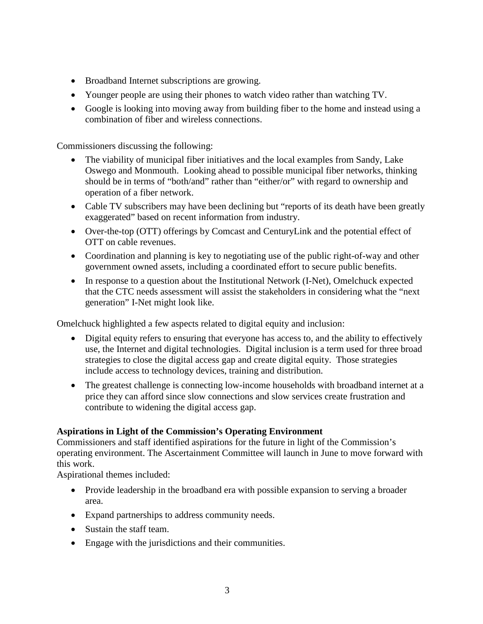- Broadband Internet subscriptions are growing.
- Younger people are using their phones to watch video rather than watching TV.
- Google is looking into moving away from building fiber to the home and instead using a combination of fiber and wireless connections.

Commissioners discussing the following:

- The viability of municipal fiber initiatives and the local examples from Sandy, Lake Oswego and Monmouth. Looking ahead to possible municipal fiber networks, thinking should be in terms of "both/and" rather than "either/or" with regard to ownership and operation of a fiber network.
- Cable TV subscribers may have been declining but "reports of its death have been greatly exaggerated" based on recent information from industry.
- Over-the-top (OTT) offerings by Comcast and CenturyLink and the potential effect of OTT on cable revenues.
- Coordination and planning is key to negotiating use of the public right-of-way and other government owned assets, including a coordinated effort to secure public benefits.
- In response to a question about the Institutional Network (I-Net), Omelchuck expected that the CTC needs assessment will assist the stakeholders in considering what the "next generation" I-Net might look like.

Omelchuck highlighted a few aspects related to digital equity and inclusion:

- Digital equity refers to ensuring that everyone has access to, and the ability to effectively use, the Internet and digital technologies. Digital inclusion is a term used for three broad strategies to close the digital access gap and create digital equity. Those strategies include access to technology devices, training and distribution.
- The greatest challenge is connecting low-income households with broadband internet at a price they can afford since slow connections and slow services create frustration and contribute to widening the digital access gap.

# **Aspirations in Light of the Commission's Operating Environment**

Commissioners and staff identified aspirations for the future in light of the Commission's operating environment. The Ascertainment Committee will launch in June to move forward with this work.

Aspirational themes included:

- Provide leadership in the broadband era with possible expansion to serving a broader area.
- Expand partnerships to address community needs.
- Sustain the staff team.
- Engage with the jurisdictions and their communities.